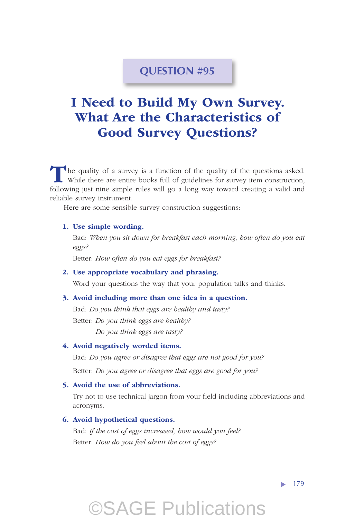### **QUESTION #95**

## I Need to Build My Own Survey. What Are the Characteristics of Good Survey Questions?

The quality of a survey is a function of the quality of the questions asked. While there are entire books full of guidelines for survey item construction, following just nine simple rules will go a long way toward creating a valid and reliable survey instrument.

Here are some sensible survey construction suggestions:

#### 1. Use simple wording.

Bad: *When you sit down for breakfast each morning, how often do you eat eggs?*

Better: *How often do you eat eggs for breakfast?*

#### 2. Use appropriate vocabulary and phrasing.

Word your questions the way that your population talks and thinks.

#### 3. Avoid including more than one idea in a question.

Bad: *Do you think that eggs are healthy and tasty?* Better: *Do you think eggs are healthy?*

*Do you think eggs are tasty?*

#### 4. Avoid negatively worded items.

Bad: *Do you agree or disagree that eggs are not good for you?*

Better: *Do you agree or disagree that eggs are good for you?*

#### 5. Avoid the use of abbreviations.

Try not to use technical jargon from your field including abbreviations and acronyms.

©SAGE Publications

#### 6. Avoid hypothetical questions.

Bad: *If the cost of eggs increased, how would you feel?* Better: *How do you feel about the cost of eggs?*

 $\blacktriangleright$  179